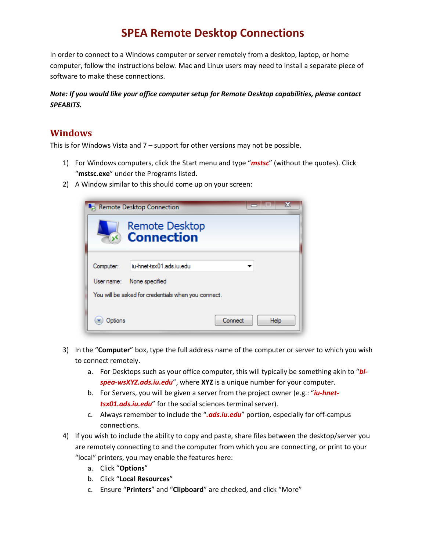## **SPEA Remote Desktop Connections**

In order to connect to a Windows computer or server remotely from a desktop, laptop, or home computer, follow the instructions below. Mac and Linux users may need to install a separate piece of software to make these connections.

## *Note: If you would like your office computer setup for Remote Desktop capabilities, please contact SPEABITS.*

## **Windows**

This is for Windows Vista and 7 – support for other versions may not be possible.

- 1) For Windows computers, click the Start menu and type "*mstsc*" (without the quotes). Click "**mstsc.exe**" under the Programs listed.
- 2) A Window similar to this should come up on your screen:



- 3) In the "**Computer**" box, type the full address name of the computer or server to which you wish to connect remotely.
	- a. For Desktops such as your office computer, this will typically be something akin to "*blspea-wsXYZ.ads.iu.edu*", where **XYZ** is a unique number for your computer.
	- b. For Servers, you will be given a server from the project owner (e.g.: "*iu-hnettsx01.ads.iu.edu*" for the social sciences terminal server).
	- c. Always remember to include the "*.ads.iu.edu*" portion, especially for off-campus connections.
- 4) If you wish to include the ability to copy and paste, share files between the desktop/server you are remotely connecting to and the computer from which you are connecting, or print to your "local" printers, you may enable the features here:
	- a. Click "**Options**"
	- b. Click "**Local Resources**"
	- c. Ensure "**Printers**" and "**Clipboard**" are checked, and click "More"